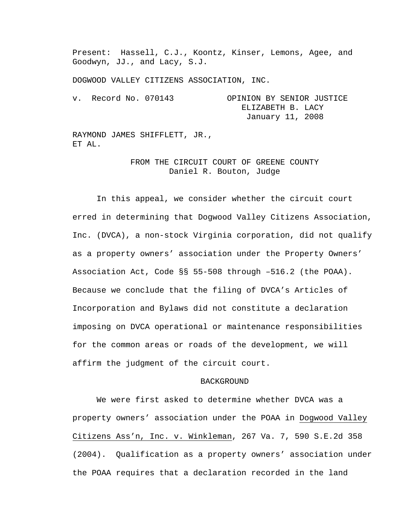Present: Hassell, C.J., Koontz, Kinser, Lemons, Agee, and Goodwyn, JJ., and Lacy, S.J.

DOGWOOD VALLEY CITIZENS ASSOCIATION, INC.

v. Record No. 070143 OPINION BY SENIOR JUSTICE ELIZABETH B. LACY January 11, 2008

RAYMOND JAMES SHIFFLETT, JR., ET AL.

> FROM THE CIRCUIT COURT OF GREENE COUNTY Daniel R. Bouton, Judge

 In this appeal, we consider whether the circuit court erred in determining that Dogwood Valley Citizens Association, Inc. (DVCA), a non-stock Virginia corporation, did not qualify as a property owners' association under the Property Owners' Association Act, Code §§ 55-508 through –516.2 (the POAA). Because we conclude that the filing of DVCA's Articles of Incorporation and Bylaws did not constitute a declaration imposing on DVCA operational or maintenance responsibilities for the common areas or roads of the development, we will affirm the judgment of the circuit court.

## BACKGROUND

We were first asked to determine whether DVCA was a property owners' association under the POAA in Dogwood Valley Citizens Ass'n, Inc. v. Winkleman, 267 Va. 7, 590 S.E.2d 358 (2004). Qualification as a property owners' association under the POAA requires that a declaration recorded in the land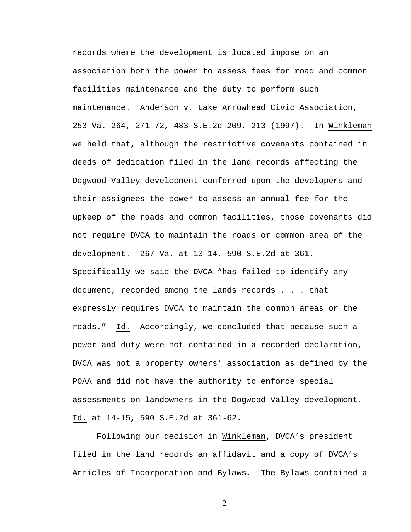records where the development is located impose on an association both the power to assess fees for road and common facilities maintenance and the duty to perform such maintenance. Anderson v. Lake Arrowhead Civic Association, 253 Va. 264, 271-72, 483 S.E.2d 209, 213 (1997). In Winkleman we held that, although the restrictive covenants contained in deeds of dedication filed in the land records affecting the Dogwood Valley development conferred upon the developers and their assignees the power to assess an annual fee for the upkeep of the roads and common facilities, those covenants did not require DVCA to maintain the roads or common area of the development. 267 Va. at 13-14, 590 S.E.2d at 361. Specifically we said the DVCA "has failed to identify any document, recorded among the lands records . . . that expressly requires DVCA to maintain the common areas or the roads." Id. Accordingly, we concluded that because such a power and duty were not contained in a recorded declaration, DVCA was not a property owners' association as defined by the POAA and did not have the authority to enforce special assessments on landowners in the Dogwood Valley development. Id. at 14-15, 590 S.E.2d at 361-62.

Following our decision in Winkleman, DVCA's president filed in the land records an affidavit and a copy of DVCA's Articles of Incorporation and Bylaws. The Bylaws contained a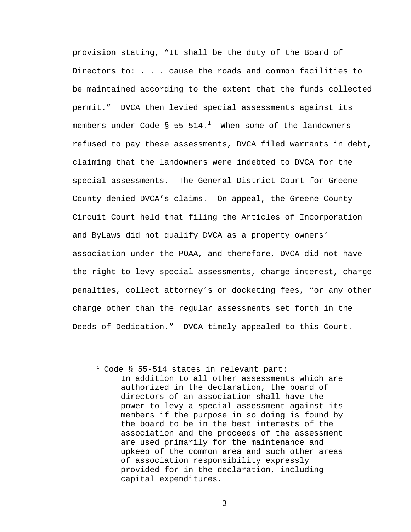provision stating, "It shall be the duty of the Board of Directors to: . . . cause the roads and common facilities to be maintained according to the extent that the funds collected permit." DVCA then levied special assessments against its members under Code § 55-514. $^1$  When some of the landowners refused to pay these assessments, DVCA filed warrants in debt, claiming that the landowners were indebted to DVCA for the special assessments. The General District Court for Greene County denied DVCA's claims. On appeal, the Greene County Circuit Court held that filing the Articles of Incorporation and ByLaws did not qualify DVCA as a property owners' association under the POAA, and therefore, DVCA did not have the right to levy special assessments, charge interest, charge penalties, collect attorney's or docketing fees, "or any other charge other than the regular assessments set forth in the Deeds of Dedication." DVCA timely appealed to this Court.

1

<sup>1</sup> Code § 55-514 states in relevant part: In addition to all other assessments which are authorized in the declaration, the board of directors of an association shall have the power to levy a special assessment against its members if the purpose in so doing is found by the board to be in the best interests of the association and the proceeds of the assessment are used primarily for the maintenance and upkeep of the common area and such other areas of association responsibility expressly provided for in the declaration, including capital expenditures.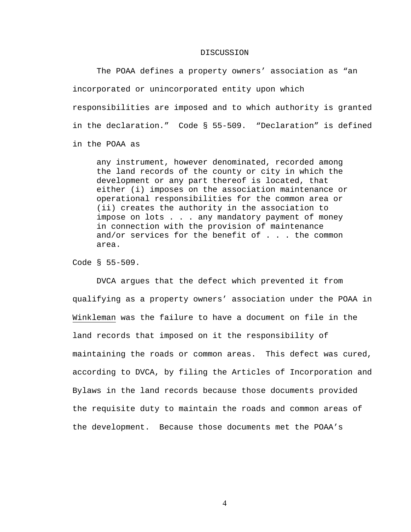## DISCUSSION

 The POAA defines a property owners' association as "an incorporated or unincorporated entity upon which responsibilities are imposed and to which authority is granted in the declaration." Code § 55-509. "Declaration" is defined in the POAA as

any instrument, however denominated, recorded among the land records of the county or city in which the development or any part thereof is located, that either (i) imposes on the association maintenance or operational responsibilities for the common area or (ii) creates the authority in the association to impose on lots . . . any mandatory payment of money in connection with the provision of maintenance and/or services for the benefit of . . . the common area.

Code § 55-509.

 DVCA argues that the defect which prevented it from qualifying as a property owners' association under the POAA in Winkleman was the failure to have a document on file in the land records that imposed on it the responsibility of maintaining the roads or common areas. This defect was cured, according to DVCA, by filing the Articles of Incorporation and Bylaws in the land records because those documents provided the requisite duty to maintain the roads and common areas of the development. Because those documents met the POAA's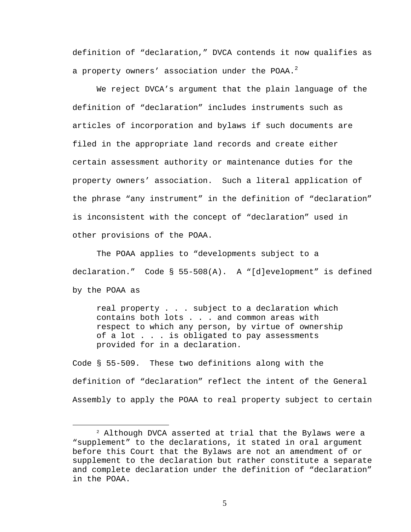definition of "declaration," DVCA contends it now qualifies as a property owners' association under the POAA.<sup>2</sup>

 We reject DVCA's argument that the plain language of the definition of "declaration" includes instruments such as articles of incorporation and bylaws if such documents are filed in the appropriate land records and create either certain assessment authority or maintenance duties for the property owners' association. Such a literal application of the phrase "any instrument" in the definition of "declaration" is inconsistent with the concept of "declaration" used in other provisions of the POAA.

The POAA applies to "developments subject to a declaration." Code § 55-508(A). A "[d]evelopment" is defined by the POAA as

real property . . . subject to a declaration which contains both lots . . . and common areas with respect to which any person, by virtue of ownership of a lot . . . is obligated to pay assessments provided for in a declaration.

Code § 55-509. These two definitions along with the definition of "declaration" reflect the intent of the General Assembly to apply the POAA to real property subject to certain

 $\overline{a}$ 

<sup>2</sup> Although DVCA asserted at trial that the Bylaws were a "supplement" to the declarations, it stated in oral argument before this Court that the Bylaws are not an amendment of or supplement to the declaration but rather constitute a separate and complete declaration under the definition of "declaration" in the POAA.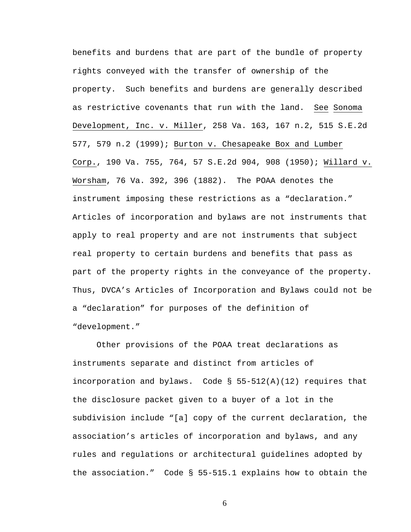benefits and burdens that are part of the bundle of property rights conveyed with the transfer of ownership of the property.Such benefits and burdens are generally described as restrictive covenants that run with the land. See Sonoma Development, Inc. v. Miller, 258 Va. 163, 167 n.2, 515 S.E.2d 577, 579 n.2 (1999); Burton v. Chesapeake Box and Lumber Corp., 190 Va. 755, 764, 57 S.E.2d 904, 908 (1950); Willard v. Worsham, 76 Va. 392, 396 (1882).The POAA denotes the instrument imposing these restrictions as a "declaration." Articles of incorporation and bylaws are not instruments that apply to real property and are not instruments that subject real property to certain burdens and benefits that pass as part of the property rights in the conveyance of the property. Thus, DVCA's Articles of Incorporation and Bylaws could not be a "declaration" for purposes of the definition of "development."

Other provisions of the POAA treat declarations as instruments separate and distinct from articles of incorporation and bylaws. Code § 55-512(A)(12) requires that the disclosure packet given to a buyer of a lot in the subdivision include "[a] copy of the current declaration, the association's articles of incorporation and bylaws, and any rules and regulations or architectural guidelines adopted by the association." Code § 55-515.1 explains how to obtain the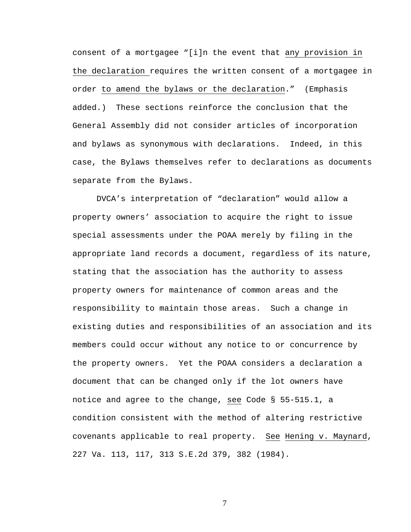consent of a mortgagee "[i]n the event that any provision in the declaration requires the written consent of a mortgagee in order to amend the bylaws or the declaration." (Emphasis added.) These sections reinforce the conclusion that the General Assembly did not consider articles of incorporation and bylaws as synonymous with declarations. Indeed, in this case, the Bylaws themselves refer to declarations as documents separate from the Bylaws.

DVCA's interpretation of "declaration" would allow a property owners' association to acquire the right to issue special assessments under the POAA merely by filing in the appropriate land records a document, regardless of its nature, stating that the association has the authority to assess property owners for maintenance of common areas and the responsibility to maintain those areas. Such a change in existing duties and responsibilities of an association and its members could occur without any notice to or concurrence by the property owners. Yet the POAA considers a declaration a document that can be changed only if the lot owners have notice and agree to the change, see Code § 55-515.1, a condition consistent with the method of altering restrictive covenants applicable to real property. See Hening v. Maynard, 227 Va. 113, 117, 313 S.E.2d 379, 382 (1984).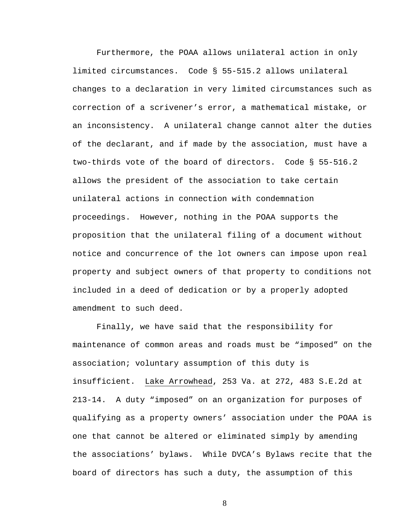Furthermore, the POAA allows unilateral action in only limited circumstances. Code § 55-515.2 allows unilateral changes to a declaration in very limited circumstances such as correction of a scrivener's error, a mathematical mistake, or an inconsistency. A unilateral change cannot alter the duties of the declarant, and if made by the association, must have a two-thirds vote of the board of directors. Code § 55-516.2 allows the president of the association to take certain unilateral actions in connection with condemnation proceedings. However, nothing in the POAA supports the proposition that the unilateral filing of a document without notice and concurrence of the lot owners can impose upon real property and subject owners of that property to conditions not included in a deed of dedication or by a properly adopted amendment to such deed.

Finally, we have said that the responsibility for maintenance of common areas and roads must be "imposed" on the association; voluntary assumption of this duty is insufficient. Lake Arrowhead, 253 Va. at 272, 483 S.E.2d at 213-14. A duty "imposed" on an organization for purposes of qualifying as a property owners' association under the POAA is one that cannot be altered or eliminated simply by amending the associations' bylaws. While DVCA's Bylaws recite that the board of directors has such a duty, the assumption of this